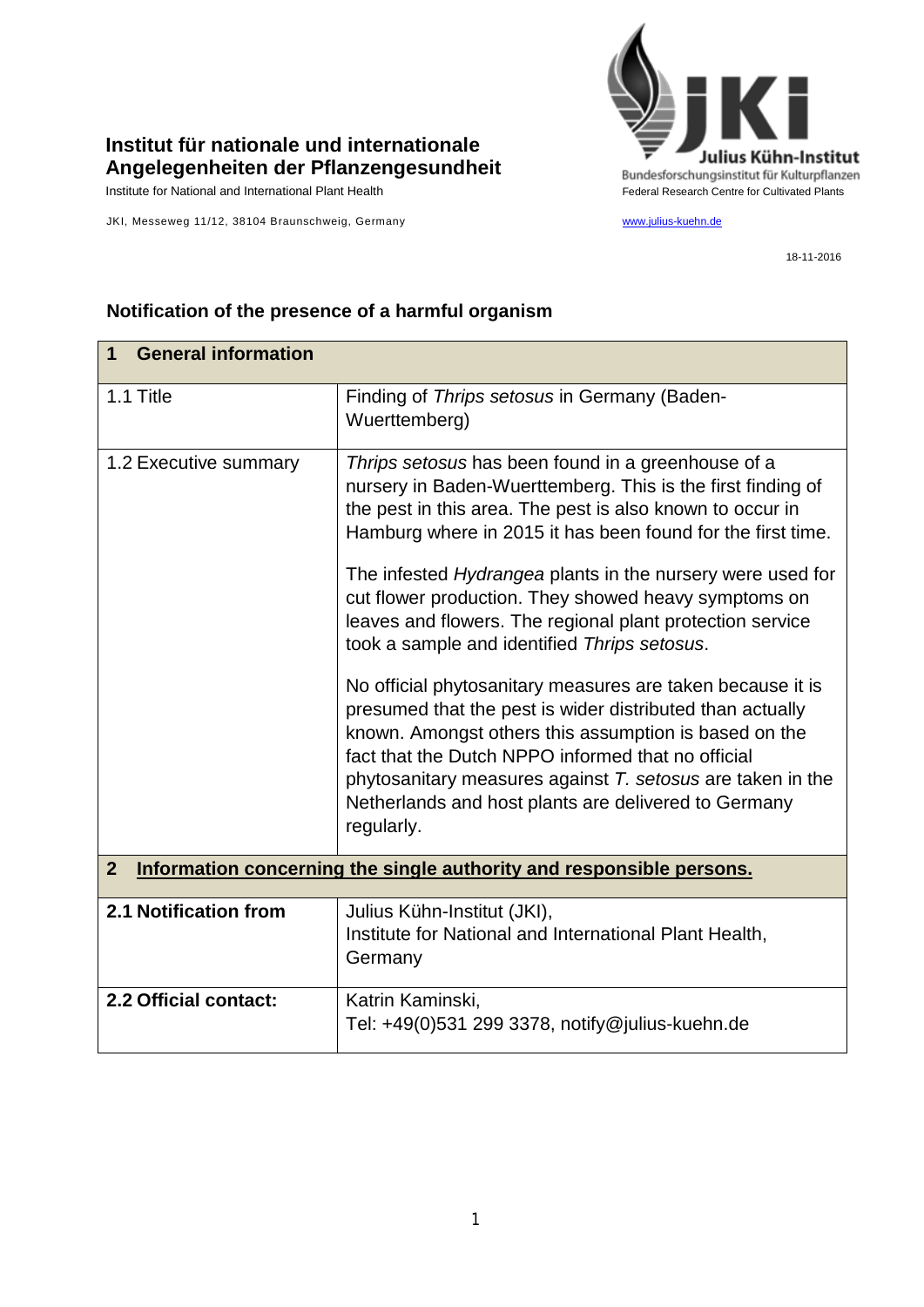

## **Institut für nationale und internationale Angelegenheiten der Pflanzengesundheit**

JKI, Messeweg 11/12, 38104 Braunschweig, Germany [www.julius-kuehn.de](http://www.julius-kuehn.de/)

18-11-2016

| <b>General information</b><br>1                                                        |                                                                                                                                                                                                                                                                                                                                                                                                                                                                                                                                                                                                                                                                                                                                                                                                                                                                          |  |
|----------------------------------------------------------------------------------------|--------------------------------------------------------------------------------------------------------------------------------------------------------------------------------------------------------------------------------------------------------------------------------------------------------------------------------------------------------------------------------------------------------------------------------------------------------------------------------------------------------------------------------------------------------------------------------------------------------------------------------------------------------------------------------------------------------------------------------------------------------------------------------------------------------------------------------------------------------------------------|--|
| 1.1 Title                                                                              | Finding of Thrips setosus in Germany (Baden-<br>Wuerttemberg)                                                                                                                                                                                                                                                                                                                                                                                                                                                                                                                                                                                                                                                                                                                                                                                                            |  |
| 1.2 Executive summary                                                                  | Thrips setosus has been found in a greenhouse of a<br>nursery in Baden-Wuerttemberg. This is the first finding of<br>the pest in this area. The pest is also known to occur in<br>Hamburg where in 2015 it has been found for the first time.<br>The infested <i>Hydrangea</i> plants in the nursery were used for<br>cut flower production. They showed heavy symptoms on<br>leaves and flowers. The regional plant protection service<br>took a sample and identified Thrips setosus.<br>No official phytosanitary measures are taken because it is<br>presumed that the pest is wider distributed than actually<br>known. Amongst others this assumption is based on the<br>fact that the Dutch NPPO informed that no official<br>phytosanitary measures against $T$ . setosus are taken in the<br>Netherlands and host plants are delivered to Germany<br>regularly. |  |
| $\overline{2}$<br>Information concerning the single authority and responsible persons. |                                                                                                                                                                                                                                                                                                                                                                                                                                                                                                                                                                                                                                                                                                                                                                                                                                                                          |  |
| 2.1 Notification from                                                                  | Julius Kühn-Institut (JKI),<br>Institute for National and International Plant Health,<br>Germany                                                                                                                                                                                                                                                                                                                                                                                                                                                                                                                                                                                                                                                                                                                                                                         |  |
| 2.2 Official contact:                                                                  | Katrin Kaminski,<br>Tel: +49(0)531 299 3378, notify@julius-kuehn.de                                                                                                                                                                                                                                                                                                                                                                                                                                                                                                                                                                                                                                                                                                                                                                                                      |  |

## **Notification of the presence of a harmful organism**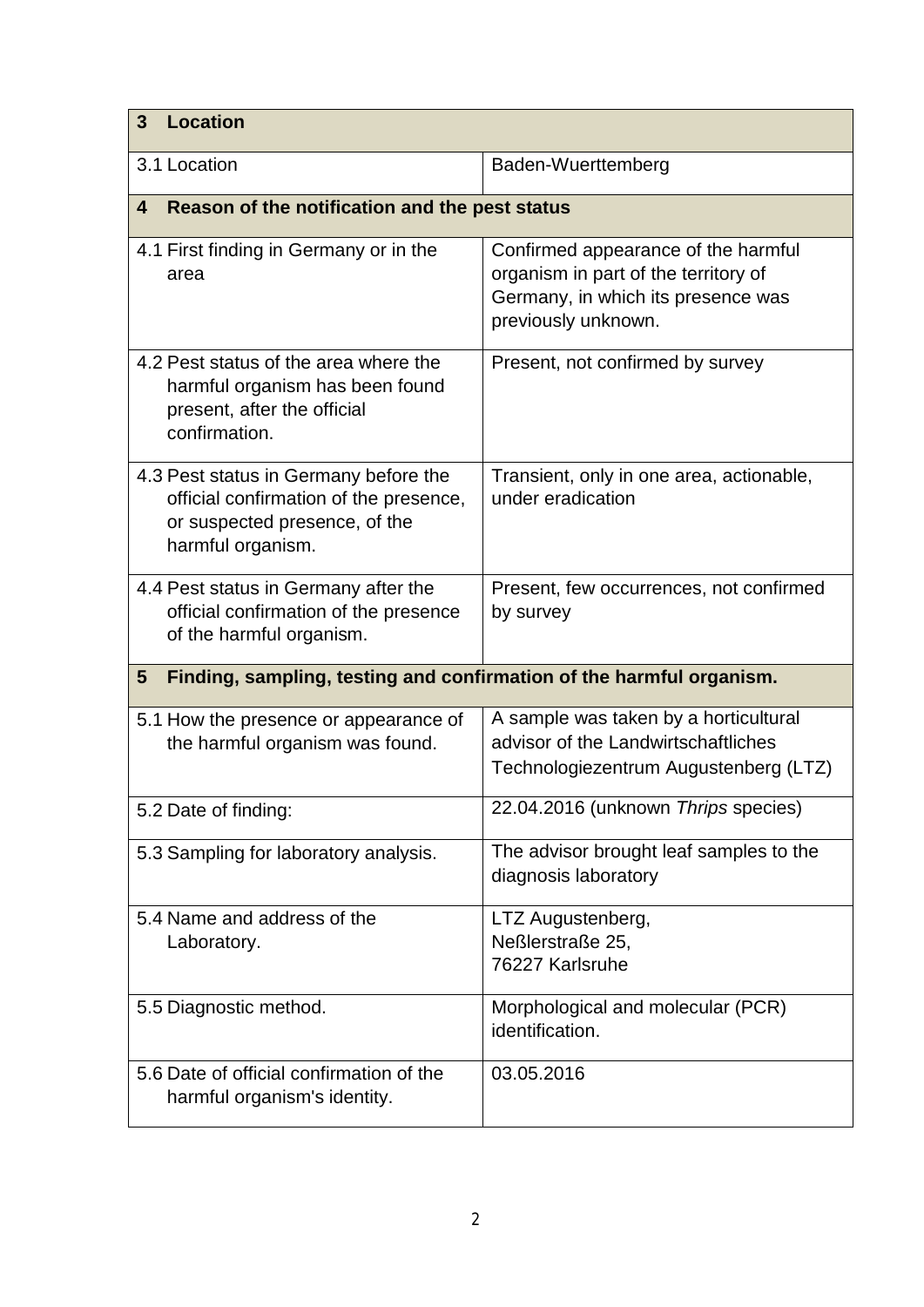| <b>Location</b><br>3                                                                                                                  |                                                                                                                                          |  |
|---------------------------------------------------------------------------------------------------------------------------------------|------------------------------------------------------------------------------------------------------------------------------------------|--|
| 3.1 Location                                                                                                                          | Baden-Wuerttemberg                                                                                                                       |  |
| Reason of the notification and the pest status<br>$\overline{\mathbf{4}}$                                                             |                                                                                                                                          |  |
| 4.1 First finding in Germany or in the<br>area                                                                                        | Confirmed appearance of the harmful<br>organism in part of the territory of<br>Germany, in which its presence was<br>previously unknown. |  |
| 4.2 Pest status of the area where the<br>harmful organism has been found<br>present, after the official<br>confirmation.              | Present, not confirmed by survey                                                                                                         |  |
| 4.3 Pest status in Germany before the<br>official confirmation of the presence,<br>or suspected presence, of the<br>harmful organism. | Transient, only in one area, actionable,<br>under eradication                                                                            |  |
| 4.4 Pest status in Germany after the<br>official confirmation of the presence<br>of the harmful organism.                             | Present, few occurrences, not confirmed<br>by survey                                                                                     |  |
| 5<br>Finding, sampling, testing and confirmation of the harmful organism.                                                             |                                                                                                                                          |  |
| 5.1 How the presence or appearance of<br>the harmful organism was found.                                                              | A sample was taken by a horticultural<br>advisor of the Landwirtschaftliches<br>Technologiezentrum Augustenberg (LTZ)                    |  |
| 5.2 Date of finding:                                                                                                                  | 22.04.2016 (unknown Thrips species)                                                                                                      |  |
| 5.3 Sampling for laboratory analysis.                                                                                                 | The advisor brought leaf samples to the<br>diagnosis laboratory                                                                          |  |
| 5.4 Name and address of the<br>Laboratory.                                                                                            | LTZ Augustenberg,<br>Neßlerstraße 25,<br>76227 Karlsruhe                                                                                 |  |
| 5.5 Diagnostic method.                                                                                                                | Morphological and molecular (PCR)<br>identification.                                                                                     |  |
| 5.6 Date of official confirmation of the<br>harmful organism's identity.                                                              | 03.05.2016                                                                                                                               |  |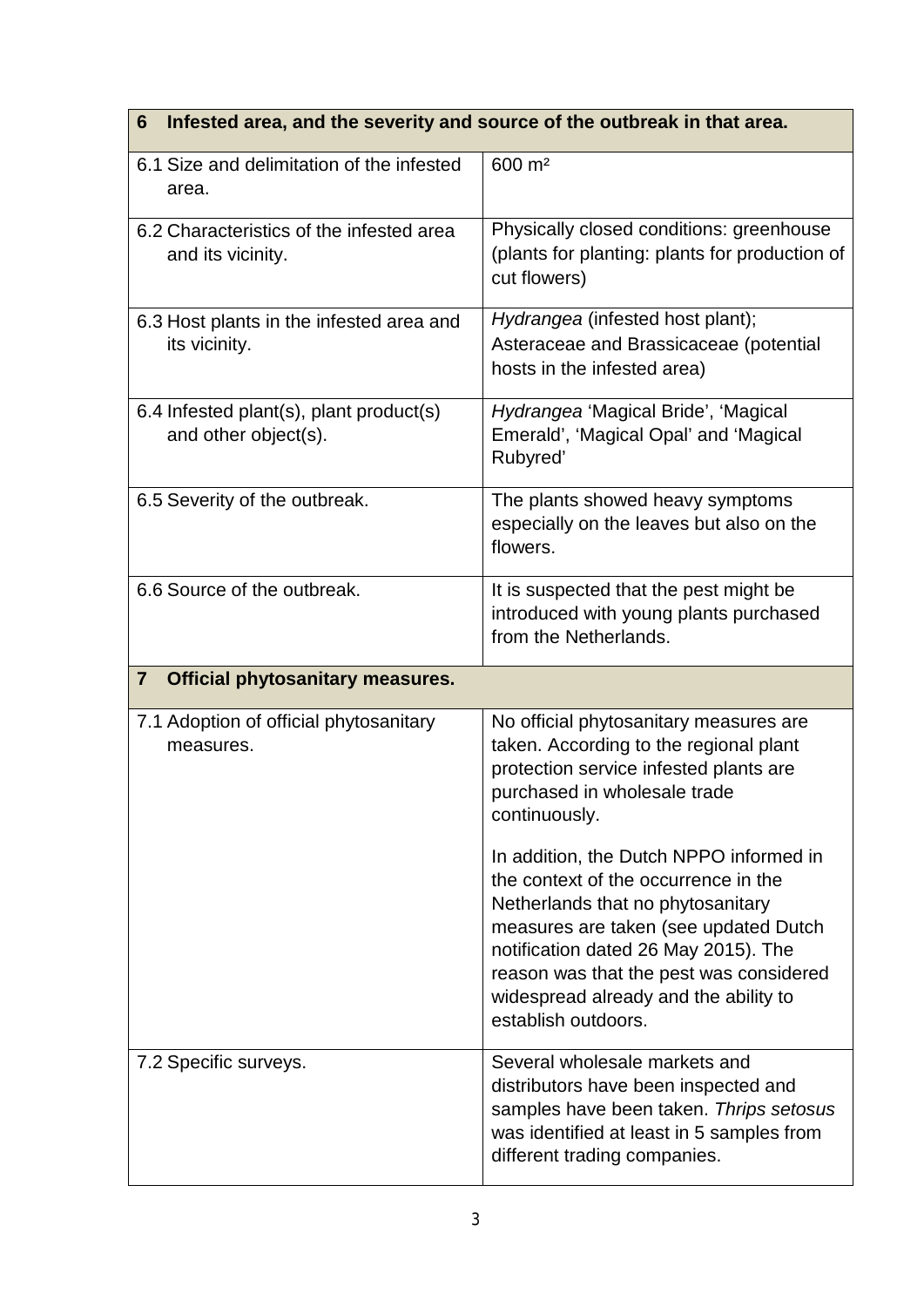## **6 Infested area, and the severity and source of the outbreak in that area.**

| 6.1 Size and delimitation of the infested<br>area.              | 600 m <sup>2</sup>                                                                                                                                                                                                                                                                                               |
|-----------------------------------------------------------------|------------------------------------------------------------------------------------------------------------------------------------------------------------------------------------------------------------------------------------------------------------------------------------------------------------------|
| 6.2 Characteristics of the infested area<br>and its vicinity.   | Physically closed conditions: greenhouse<br>(plants for planting: plants for production of<br>cut flowers)                                                                                                                                                                                                       |
| 6.3 Host plants in the infested area and<br>its vicinity.       | Hydrangea (infested host plant);<br>Asteraceae and Brassicaceae (potential<br>hosts in the infested area)                                                                                                                                                                                                        |
| 6.4 Infested plant(s), plant product(s)<br>and other object(s). | Hydrangea 'Magical Bride', 'Magical<br>Emerald', 'Magical Opal' and 'Magical<br>Rubyred'                                                                                                                                                                                                                         |
| 6.5 Severity of the outbreak.                                   | The plants showed heavy symptoms<br>especially on the leaves but also on the<br>flowers.                                                                                                                                                                                                                         |
| 6.6 Source of the outbreak.                                     | It is suspected that the pest might be<br>introduced with young plants purchased<br>from the Netherlands.                                                                                                                                                                                                        |
|                                                                 |                                                                                                                                                                                                                                                                                                                  |
| $\overline{7}$<br><b>Official phytosanitary measures.</b>       |                                                                                                                                                                                                                                                                                                                  |
| 7.1 Adoption of official phytosanitary<br>measures.             | No official phytosanitary measures are<br>taken. According to the regional plant<br>protection service infested plants are<br>purchased in wholesale trade<br>continuously.                                                                                                                                      |
|                                                                 | In addition, the Dutch NPPO informed in<br>the context of the occurrence in the<br>Netherlands that no phytosanitary<br>measures are taken (see updated Dutch<br>notification dated 26 May 2015). The<br>reason was that the pest was considered<br>widespread already and the ability to<br>establish outdoors. |